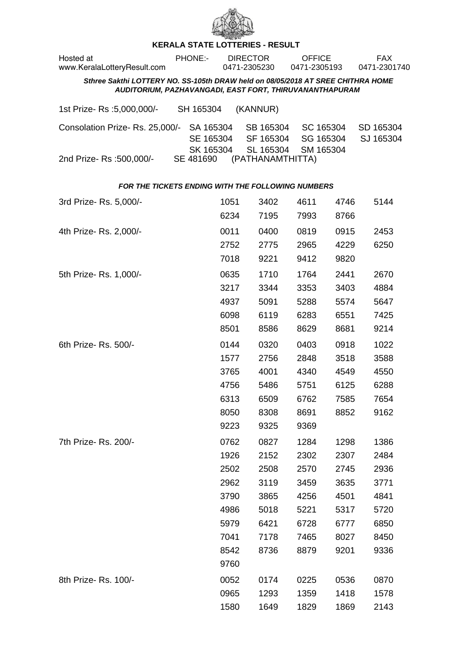

## **KERALA STATE LOTTERIES - RESULT**

| Hosted at<br>www.KeralaLotteryResult.com                                                                                                   | PHONE:-                |              | <b>DIRECTOR</b><br>0471-2305230 | <b>OFFICE</b><br>0471-2305193 |              | <b>FAX</b><br>0471-2301740 |  |  |
|--------------------------------------------------------------------------------------------------------------------------------------------|------------------------|--------------|---------------------------------|-------------------------------|--------------|----------------------------|--|--|
| Sthree Sakthi LOTTERY NO. SS-105th DRAW held on 08/05/2018 AT SREE CHITHRA HOME<br>AUDITORIUM, PAZHAVANGADI, EAST FORT, THIRUVANANTHAPURAM |                        |              |                                 |                               |              |                            |  |  |
| 1st Prize-Rs : 5,000,000/-                                                                                                                 | SH 165304              |              | (KANNUR)                        |                               |              |                            |  |  |
| Consolation Prize-Rs. 25,000/-                                                                                                             | SA 165304<br>SE 165304 |              | SB 165304<br>SF 165304          | SC 165304<br>SG 165304        |              | SD 165304<br>SJ 165304     |  |  |
| 2nd Prize- Rs :500,000/-                                                                                                                   | SK 165304<br>SE 481690 |              | SL 165304<br>(PATHANAMTHITTA)   | SM 165304                     |              |                            |  |  |
| FOR THE TICKETS ENDING WITH THE FOLLOWING NUMBERS                                                                                          |                        |              |                                 |                               |              |                            |  |  |
| 3rd Prize-Rs. 5,000/-                                                                                                                      |                        | 1051<br>6234 | 3402<br>7195                    | 4611<br>7993                  | 4746<br>8766 | 5144                       |  |  |
| 4th Prize-Rs. 2,000/-                                                                                                                      |                        | 0011         | 0400                            | 0819                          | 0915         | 2453                       |  |  |
|                                                                                                                                            |                        | 2752         | 2775                            | 2965                          | 4229         | 6250                       |  |  |
|                                                                                                                                            |                        | 7018         | 9221                            | 9412                          | 9820         |                            |  |  |
| 5th Prize-Rs. 1,000/-                                                                                                                      |                        | 0635         | 1710                            | 1764                          | 2441         | 2670                       |  |  |
|                                                                                                                                            |                        | 3217         | 3344                            | 3353                          | 3403         | 4884                       |  |  |
|                                                                                                                                            |                        | 4937         | 5091                            | 5288                          | 5574         | 5647                       |  |  |
|                                                                                                                                            |                        | 6098         | 6119                            | 6283                          | 6551         | 7425                       |  |  |
|                                                                                                                                            |                        | 8501         | 8586                            | 8629                          | 8681         | 9214                       |  |  |
| 6th Prize-Rs. 500/-                                                                                                                        |                        | 0144         | 0320                            | 0403                          | 0918         | 1022                       |  |  |
|                                                                                                                                            |                        | 1577         | 2756                            | 2848                          | 3518         | 3588                       |  |  |
|                                                                                                                                            |                        | 3765         | 4001                            | 4340                          | 4549         | 4550                       |  |  |
|                                                                                                                                            |                        | 4756         | 5486                            | 5751                          | 6125         | 6288                       |  |  |
|                                                                                                                                            |                        | 6313         | 6509                            | 6762                          | 7585         | 7654                       |  |  |
|                                                                                                                                            |                        | 8050         | 8308                            | 8691                          | 8852         | 9162                       |  |  |
|                                                                                                                                            |                        | 9223         | 9325                            | 9369                          |              |                            |  |  |
| 7th Prize-Rs. 200/-                                                                                                                        |                        | 0762         | 0827                            | 1284                          | 1298         | 1386                       |  |  |
|                                                                                                                                            |                        | 1926         | 2152                            | 2302                          | 2307         | 2484                       |  |  |
|                                                                                                                                            |                        | 2502         | 2508                            | 2570                          | 2745         | 2936                       |  |  |
|                                                                                                                                            |                        | 2962         | 3119                            | 3459                          | 3635         | 3771                       |  |  |
|                                                                                                                                            |                        | 3790         | 3865                            | 4256                          | 4501         | 4841                       |  |  |
|                                                                                                                                            |                        | 4986         | 5018                            | 5221                          | 5317         | 5720                       |  |  |
|                                                                                                                                            |                        | 5979         | 6421                            | 6728                          | 6777         | 6850                       |  |  |
|                                                                                                                                            |                        | 7041         | 7178                            | 7465                          | 8027         | 8450                       |  |  |
|                                                                                                                                            |                        | 8542         | 8736                            | 8879                          | 9201         | 9336                       |  |  |
|                                                                                                                                            |                        | 9760         |                                 |                               |              |                            |  |  |
| 8th Prize-Rs. 100/-                                                                                                                        |                        | 0052         | 0174                            | 0225                          | 0536         | 0870                       |  |  |
|                                                                                                                                            |                        | 0965         | 1293                            | 1359                          | 1418         | 1578                       |  |  |
|                                                                                                                                            |                        | 1580         | 1649                            | 1829                          | 1869         | 2143                       |  |  |